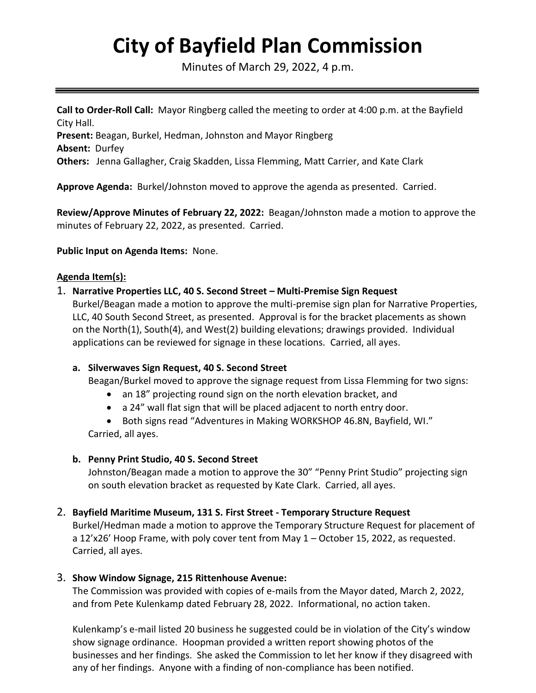# **City of Bayfield Plan Commission**

Minutes of March 29, 2022, 4 p.m.

**Call to Order-Roll Call:** Mayor Ringberg called the meeting to order at 4:00 p.m. at the Bayfield City Hall.

**Present:** Beagan, Burkel, Hedman, Johnston and Mayor Ringberg

**Absent:** Durfey

**Others:** Jenna Gallagher, Craig Skadden, Lissa Flemming, Matt Carrier, and Kate Clark

**Approve Agenda:** Burkel/Johnston moved to approve the agenda as presented. Carried.

**Review/Approve Minutes of February 22, 2022:** Beagan/Johnston made a motion to approve the minutes of February 22, 2022, as presented. Carried.

**Public Input on Agenda Items:** None.

## **Agenda Item(s):**

# 1. **Narrative Properties LLC, 40 S. Second Street – Multi-Premise Sign Request**

Burkel/Beagan made a motion to approve the multi-premise sign plan for Narrative Properties, LLC, 40 South Second Street, as presented. Approval is for the bracket placements as shown on the North(1), South(4), and West(2) building elevations; drawings provided. Individual applications can be reviewed for signage in these locations. Carried, all ayes.

## **a. Silverwaves Sign Request, 40 S. Second Street**

Beagan/Burkel moved to approve the signage request from Lissa Flemming for two signs:

- an 18" projecting round sign on the north elevation bracket, and
- a 24" wall flat sign that will be placed adjacent to north entry door.

• Both signs read "Adventures in Making WORKSHOP 46.8N, Bayfield, WI." Carried, all ayes.

## **b. Penny Print Studio, 40 S. Second Street**

Johnston/Beagan made a motion to approve the 30" "Penny Print Studio" projecting sign on south elevation bracket as requested by Kate Clark. Carried, all ayes.

## 2. **Bayfield Maritime Museum, 131 S. First Street - Temporary Structure Request**

Burkel/Hedman made a motion to approve the Temporary Structure Request for placement of a 12'x26' Hoop Frame, with poly cover tent from May 1 – October 15, 2022, as requested. Carried, all ayes.

## 3. **Show Window Signage, 215 Rittenhouse Avenue:**

The Commission was provided with copies of e-mails from the Mayor dated, March 2, 2022, and from Pete Kulenkamp dated February 28, 2022. Informational, no action taken.

Kulenkamp's e-mail listed 20 business he suggested could be in violation of the City's window show signage ordinance. Hoopman provided a written report showing photos of the businesses and her findings. She asked the Commission to let her know if they disagreed with any of her findings. Anyone with a finding of non-compliance has been notified.